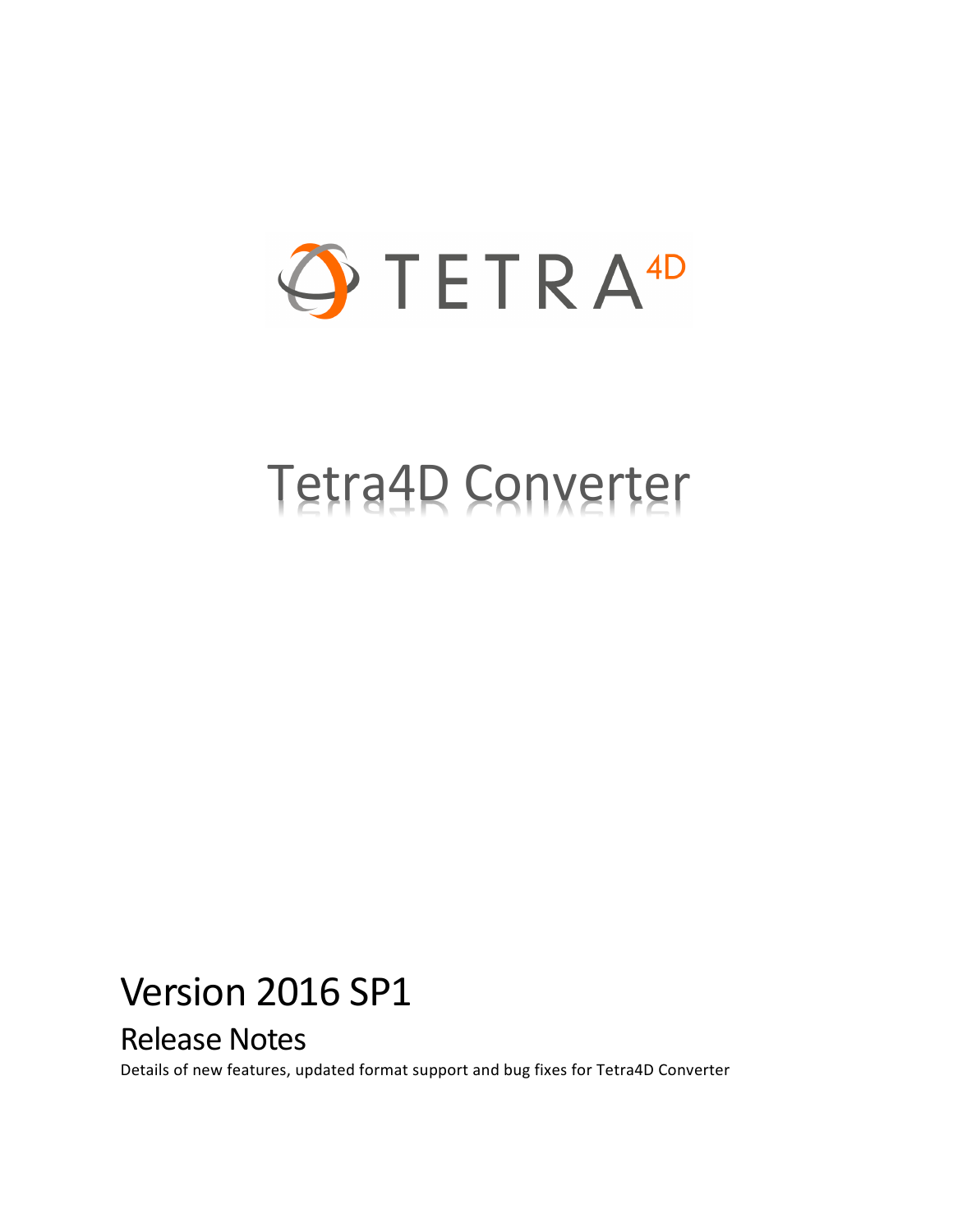

# Tetra4D Converter

## Version 2016 SP1

### Release Notes

Details of new features, updated format support and bug fixes for Tetra4D Converter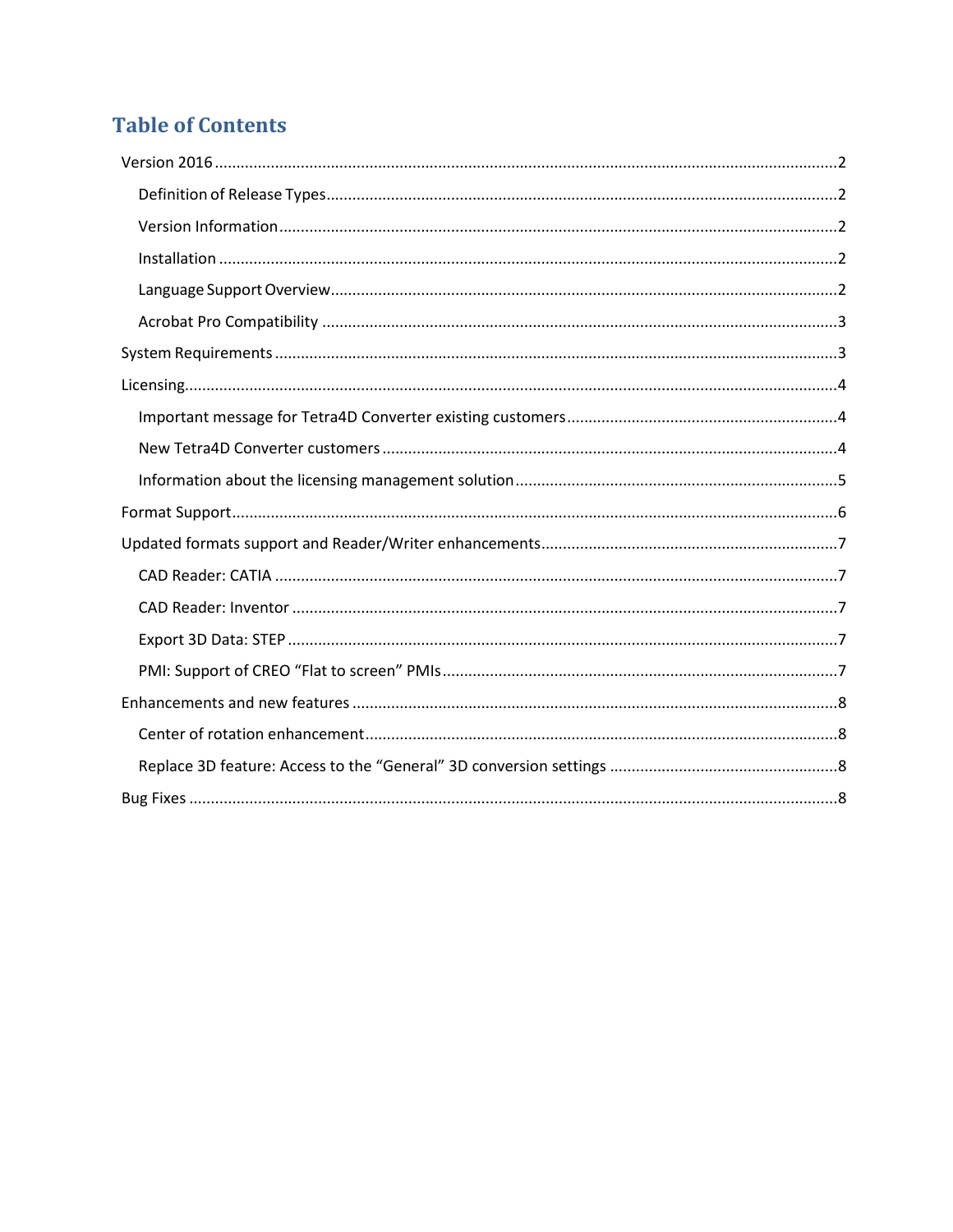### **Table of Contents**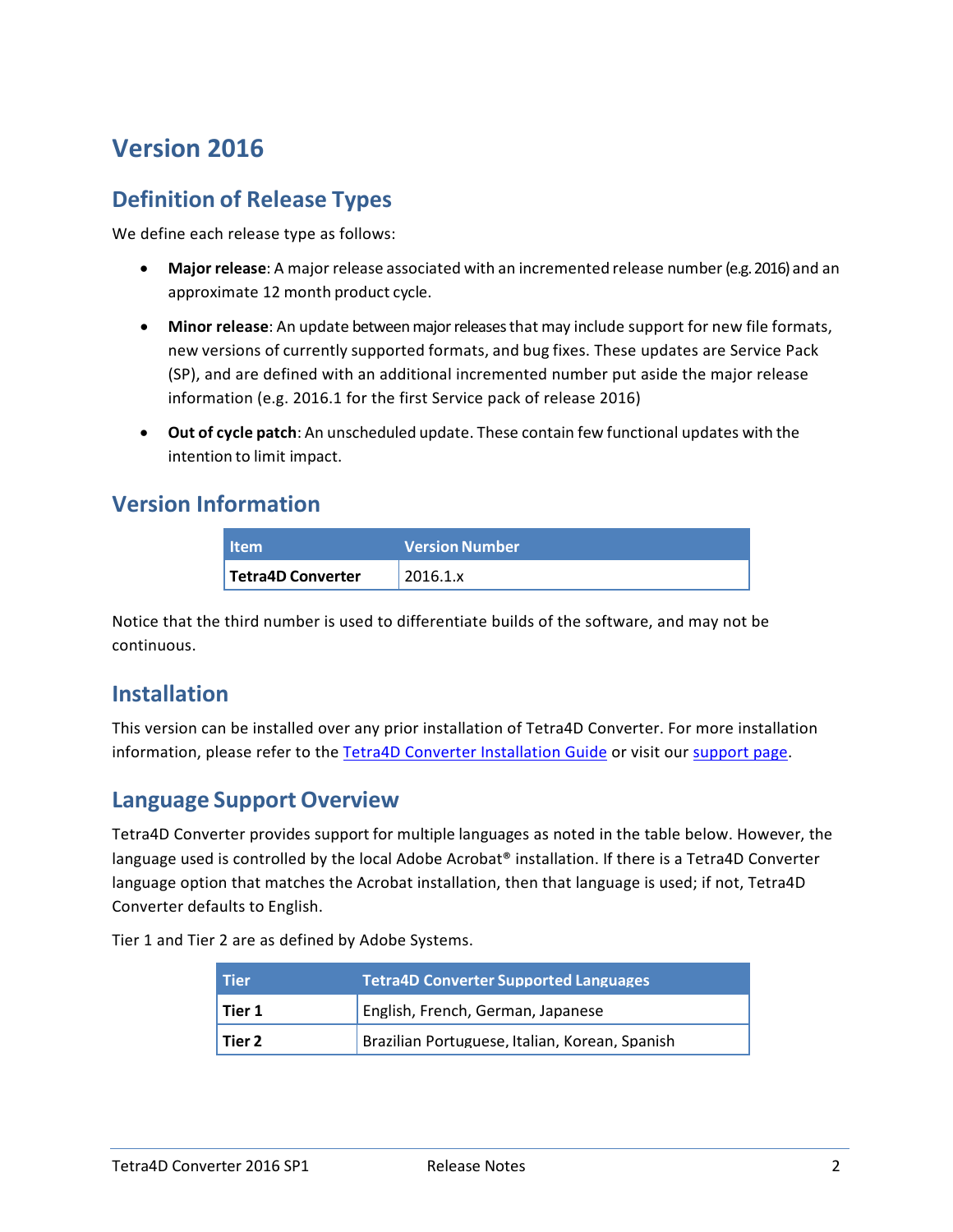### <span id="page-2-0"></span>**Version 2016**

#### <span id="page-2-1"></span>**Definition of Release Types**

We define each release type as follows:

- **Major release**: A major release associated with an incremented release number (e.g. 2016) and an approximate 12 month product cycle.
- **Minor release**: An update betweenmajorreleasesthat may include support for new file formats, new versions of currently supported formats, and bug fixes. These updates are Service Pack (SP), and are defined with an additional incremented number put aside the major release information (e.g. 2016.1 for the first Service pack of release 2016)
- **Out of cycle patch**: An unscheduled update. These contain few functional updates with the intention to limit impact.

#### <span id="page-2-2"></span>**Version Information**

| <b>Item</b>       | <b>Version Number</b> |
|-------------------|-----------------------|
| Tetra4D Converter | 2016.1.x              |

Notice that the third number is used to differentiate builds of the software, and may not be continuous.

#### <span id="page-2-3"></span>**Installation**

This version can be installed over any prior installation of Tetra4D Converter. For more installation information, please refer to the Tetra4D [Converter Installation Guide](http://www.tetra4d.com/documentation/) or visit our [support page.](http://www.tetra4d.com/support/)

#### <span id="page-2-4"></span>**Language Support Overview**

Tetra4D Converter provides support for multiple languages as noted in the table below. However, the language used is controlled by the local Adobe Acrobat® installation. If there is a Tetra4D Converter language option that matches the Acrobat installation, then that language is used; if not, Tetra4D Converter defaults to English.

Tier 1 and Tier 2 are as defined by Adobe Systems.

| Tier     | <b>Tetra4D Converter Supported Languages</b>   |
|----------|------------------------------------------------|
| l Tier 1 | English, French, German, Japanese              |
| l Tier 2 | Brazilian Portuguese, Italian, Korean, Spanish |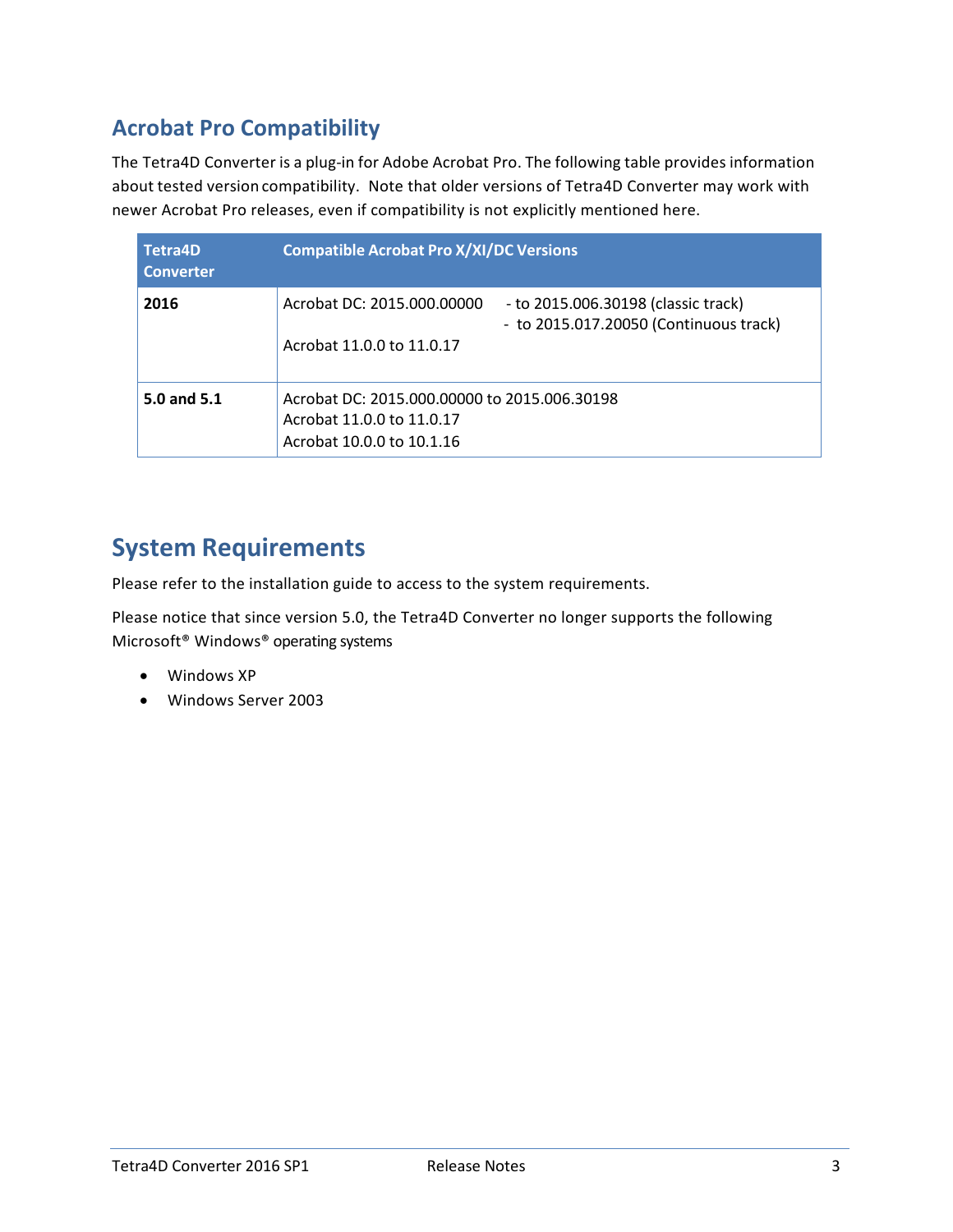### <span id="page-3-0"></span>**Acrobat Pro Compatibility**

The Tetra4D Converter is a plug-in for Adobe Acrobat Pro. The following table provides information about tested version compatibility. Note that older versions of Tetra4D Converter may work with newer Acrobat Pro releases, even if compatibility is not explicitly mentioned here.

| <b>Tetra4D</b><br><b>Converter</b> | <b>Compatible Acrobat Pro X/XI/DC Versions</b>                                                                                           |
|------------------------------------|------------------------------------------------------------------------------------------------------------------------------------------|
| 2016                               | - to 2015.006.30198 (classic track)<br>Acrobat DC: 2015.000.00000<br>- to 2015.017.20050 (Continuous track)<br>Acrobat 11.0.0 to 11.0.17 |
| 5.0 and 5.1                        | Acrobat DC: 2015.000.00000 to 2015.006.30198<br>Acrobat 11.0.0 to 11.0.17<br>Acrobat 10.0.0 to 10.1.16                                   |

### <span id="page-3-1"></span>**System Requirements**

Please refer to the installation guide to access to the system requirements.

Please notice that since version 5.0, the Tetra4D Converter no longer supports the following Microsoft® Windows® operating systems

- Windows XP
- Windows Server 2003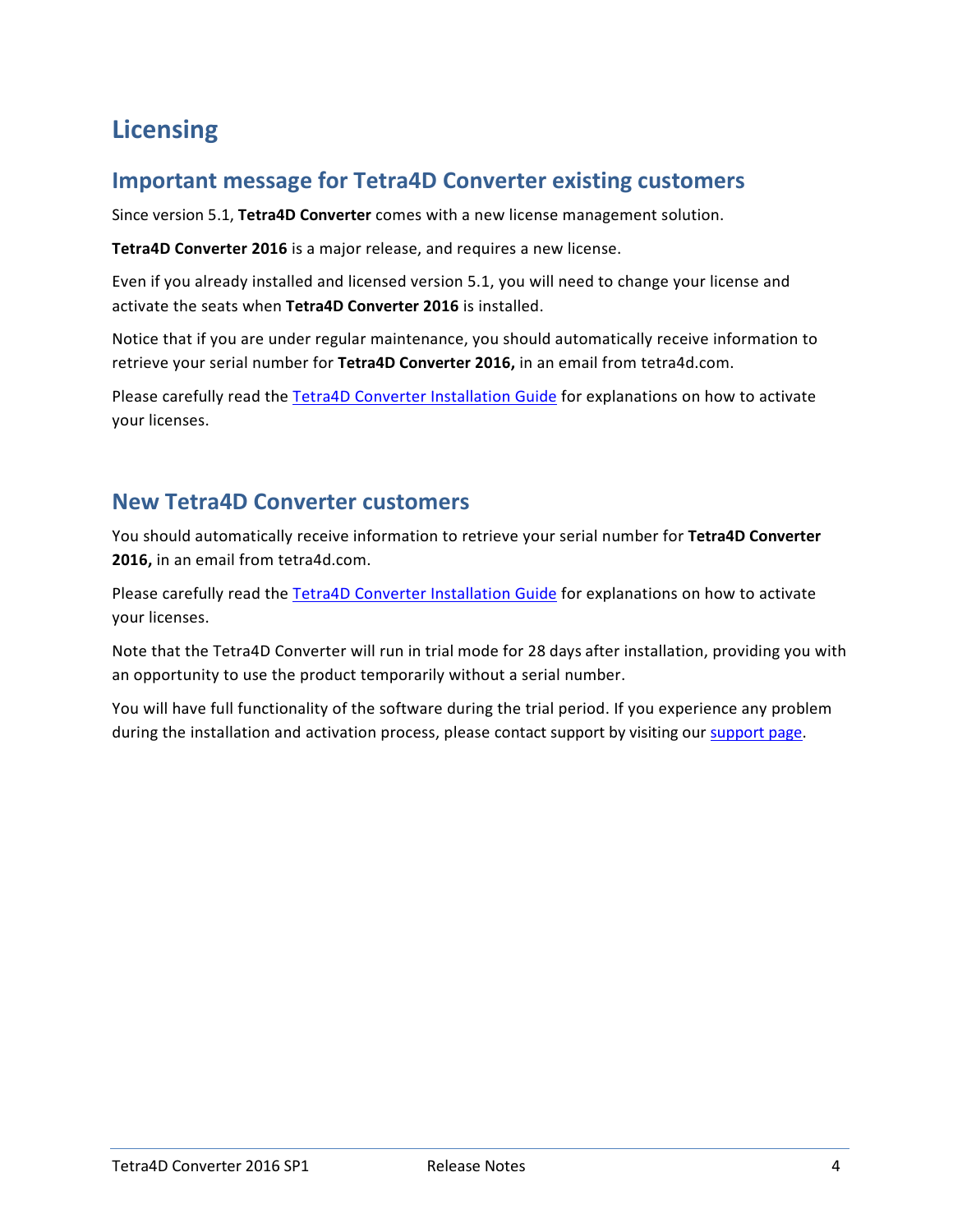### <span id="page-4-0"></span>**Licensing**

#### <span id="page-4-1"></span>**Important message for Tetra4D Converter existing customers**

Since version 5.1, **Tetra4D Converter** comes with a new license management solution.

**Tetra4D Converter 2016** is a major release, and requires a new license.

Even if you already installed and licensed version 5.1, you will need to change your license and activate the seats when **Tetra4D Converter 2016** is installed.

Notice that if you are under regular maintenance, you should automatically receive information to retrieve your serial number for **Tetra4D Converter 2016,** in an email from tetra4d.com.

Please carefully read the [Tetra4D Converter Installation Guide](http://www.tetra4d.com/documentation/) for explanations on how to activate your licenses.

#### <span id="page-4-2"></span>**New Tetra4D Converter customers**

You should automatically receive information to retrieve your serial number for **Tetra4D Converter 2016,** in an email from tetra4d.com.

Please carefully read the [Tetra4D Converter Installation Guide](http://www.tetra4d.com/documentation/) for explanations on how to activate your licenses.

Note that the Tetra4D Converter will run in trial mode for 28 days after installation, providing you with an opportunity to use the product temporarily without a serial number.

You will have full functionality of the software during the trial period. If you experience any problem during the installation and activation process, please contact support by visiting our [support page.](http://www.tetra4d.com/support/)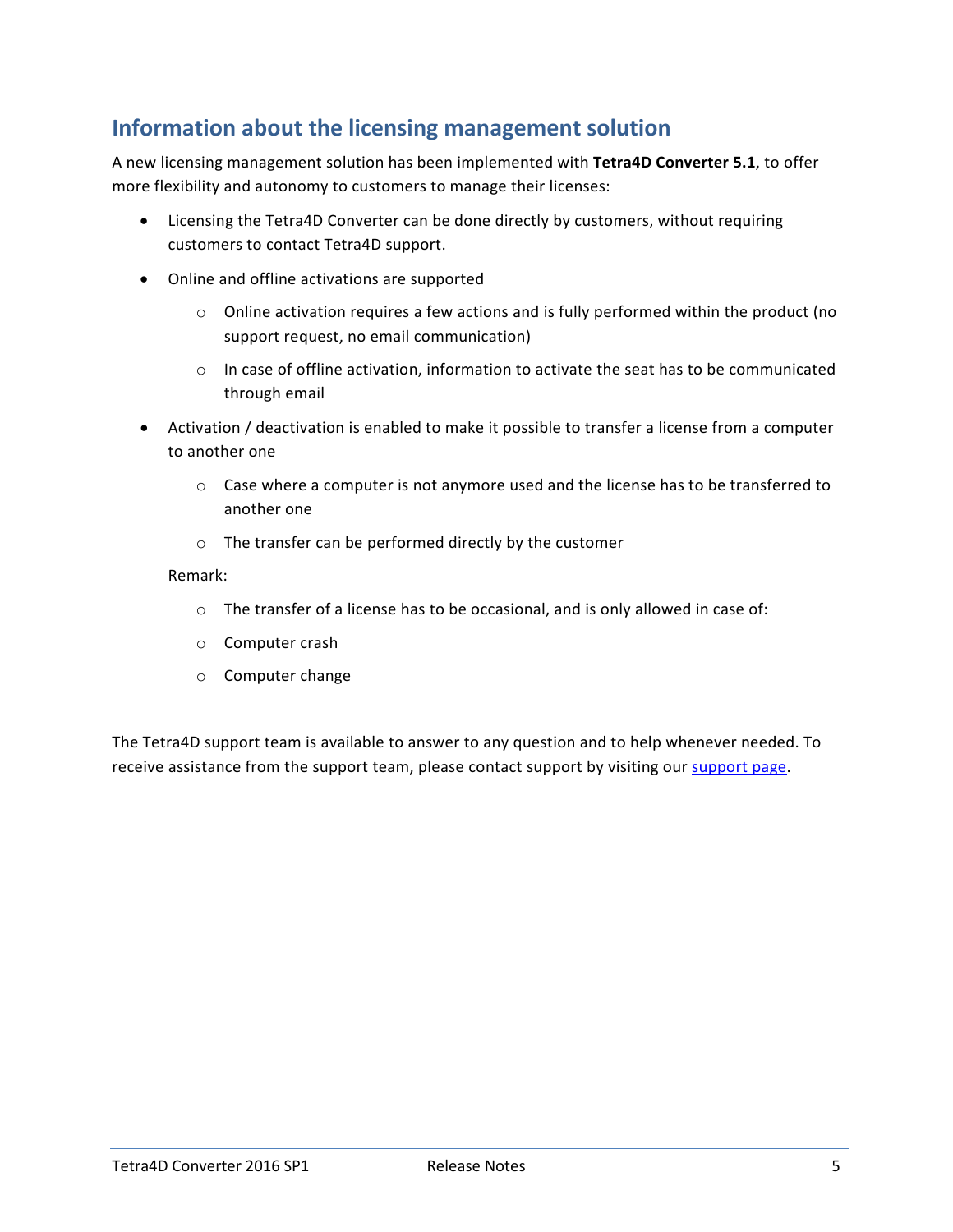### <span id="page-5-0"></span>**Information about the licensing management solution**

A new licensing management solution has been implemented with **Tetra4D Converter 5.1**, to offer more flexibility and autonomy to customers to manage their licenses:

- Licensing the Tetra4D Converter can be done directly by customers, without requiring customers to contact Tetra4D support.
- Online and offline activations are supported
	- $\circ$  Online activation requires a few actions and is fully performed within the product (no support request, no email communication)
	- $\circ$  In case of offline activation, information to activate the seat has to be communicated through email
- Activation / deactivation is enabled to make it possible to transfer a license from a computer to another one
	- $\circ$  Case where a computer is not anymore used and the license has to be transferred to another one
	- o The transfer can be performed directly by the customer

#### Remark:

- o The transfer of a license has to be occasional, and is only allowed in case of:
- o Computer crash
- o Computer change

The Tetra4D support team is available to answer to any question and to help whenever needed. To receive assistance from the support team, please contact support by visiting our [support page.](http://www.tetra4d.com/support/)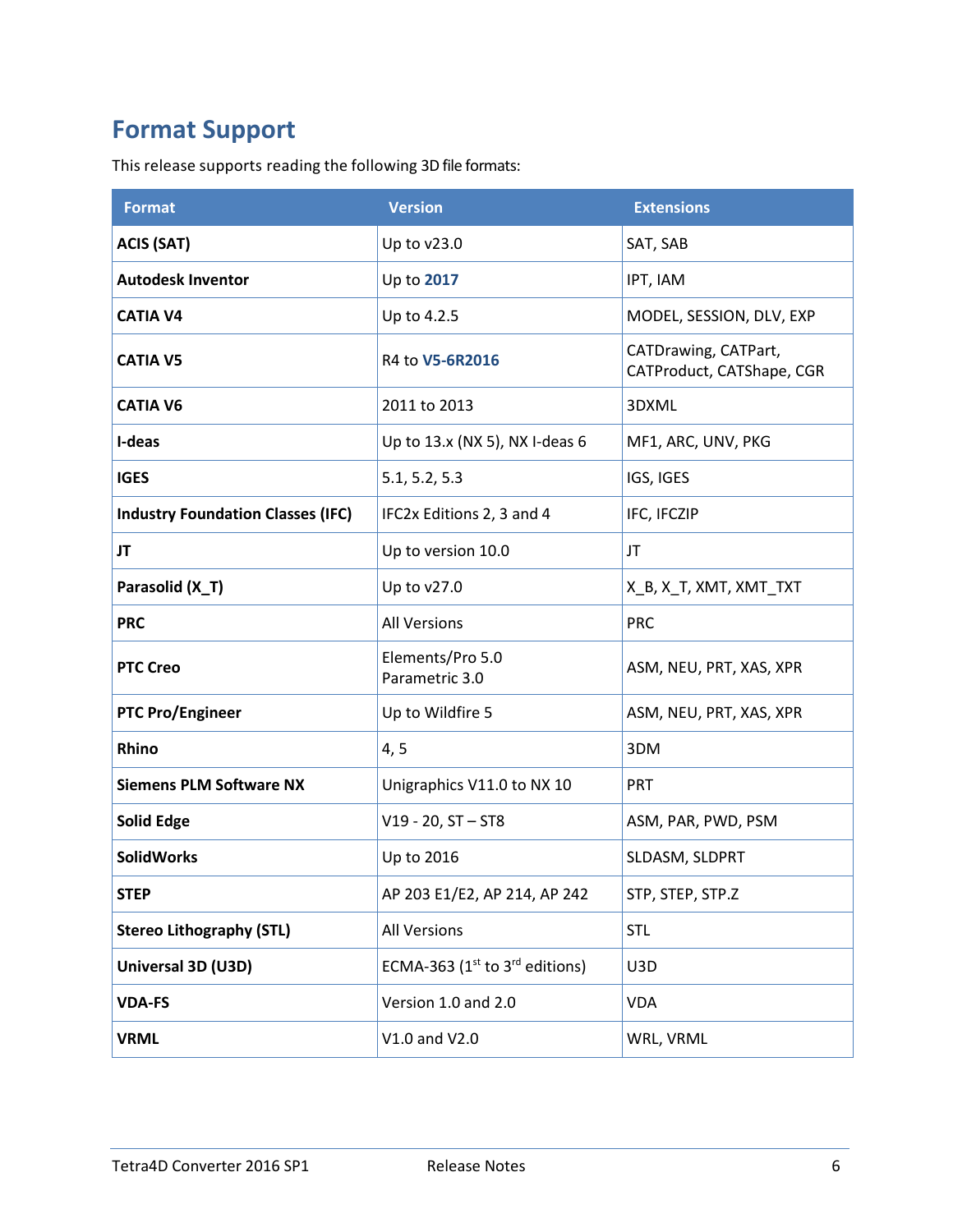### <span id="page-6-0"></span>**Format Support**

This release supports reading the following 3D file formats:

| <b>Format</b>                            | <b>Version</b>                      | <b>Extensions</b>                                 |
|------------------------------------------|-------------------------------------|---------------------------------------------------|
| <b>ACIS (SAT)</b>                        | Up to v23.0                         | SAT, SAB                                          |
| <b>Autodesk Inventor</b>                 | Up to 2017                          | IPT, IAM                                          |
| <b>CATIA V4</b>                          | Up to 4.2.5                         | MODEL, SESSION, DLV, EXP                          |
| <b>CATIA V5</b>                          | R4 to V5-6R2016                     | CATDrawing, CATPart,<br>CATProduct, CATShape, CGR |
| <b>CATIA V6</b>                          | 2011 to 2013                        | 3DXML                                             |
| I-deas                                   | Up to 13.x (NX 5), NX I-deas 6      | MF1, ARC, UNV, PKG                                |
| <b>IGES</b>                              | 5.1, 5.2, 5.3                       | IGS, IGES                                         |
| <b>Industry Foundation Classes (IFC)</b> | IFC2x Editions 2, 3 and 4           | IFC, IFCZIP                                       |
| JT                                       | Up to version 10.0                  | JT.                                               |
| Parasolid (X_T)                          | Up to v27.0                         | X_B, X_T, XMT, XMT_TXT                            |
| <b>PRC</b>                               | <b>All Versions</b>                 | <b>PRC</b>                                        |
| <b>PTC Creo</b>                          | Elements/Pro 5.0<br>Parametric 3.0  | ASM, NEU, PRT, XAS, XPR                           |
| <b>PTC Pro/Engineer</b>                  | Up to Wildfire 5                    | ASM, NEU, PRT, XAS, XPR                           |
| Rhino                                    | 4, 5                                | 3DM                                               |
| <b>Siemens PLM Software NX</b>           | Unigraphics V11.0 to NX 10          | PRT                                               |
| <b>Solid Edge</b>                        | $V19 - 20$ , $ST - ST8$             | ASM, PAR, PWD, PSM                                |
| <b>SolidWorks</b>                        | Up to 2016                          | SLDASM, SLDPRT                                    |
| <b>STEP</b>                              | AP 203 E1/E2, AP 214, AP 242        | STP, STEP, STP.Z                                  |
| <b>Stereo Lithography (STL)</b>          | <b>All Versions</b>                 | <b>STL</b>                                        |
| Universal 3D (U3D)                       | ECMA-363 ( $1st$ to $3rd$ editions) | U3D                                               |
| <b>VDA-FS</b>                            | Version 1.0 and 2.0                 | <b>VDA</b>                                        |
| <b>VRML</b>                              | V1.0 and V2.0                       | WRL, VRML                                         |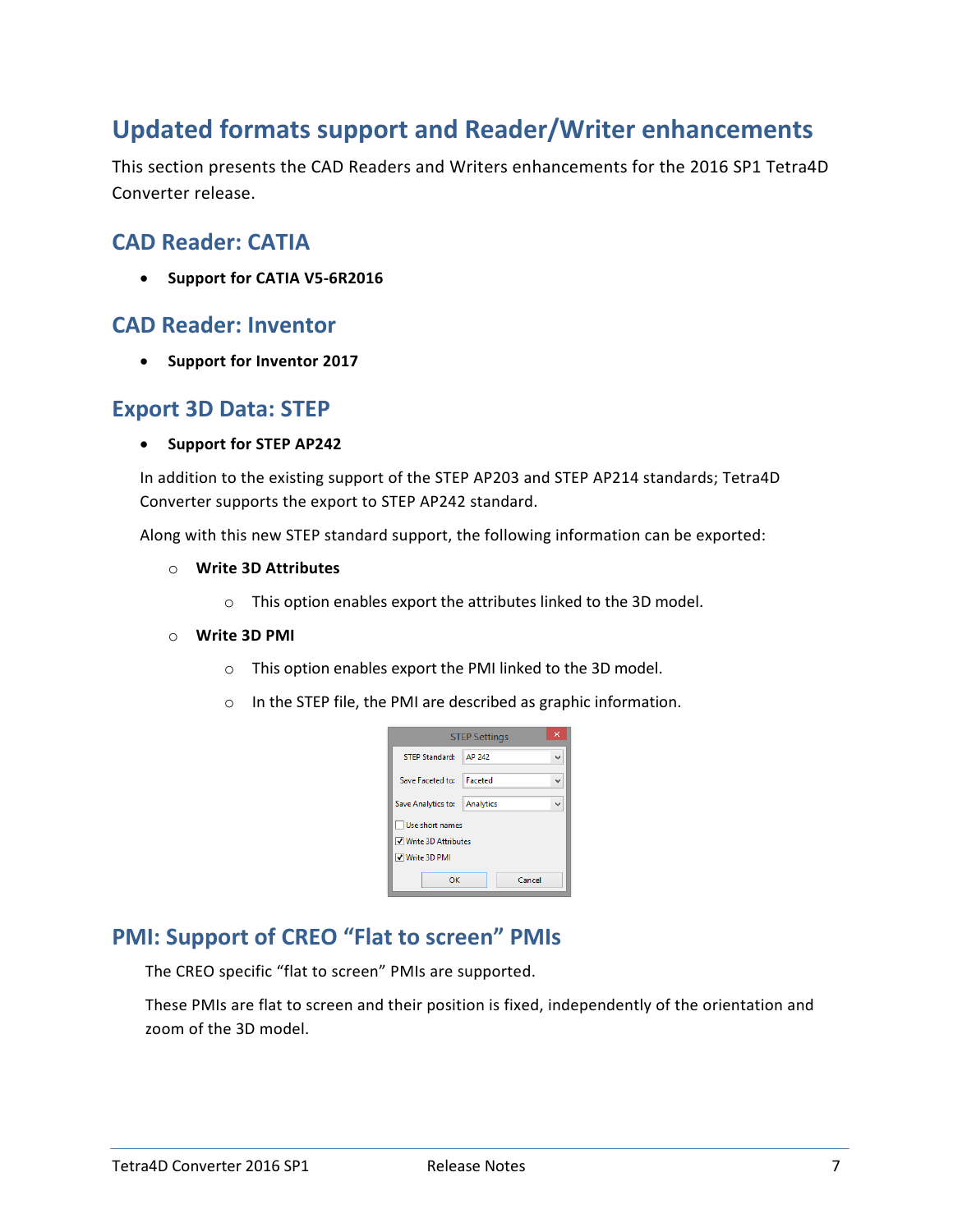### <span id="page-7-0"></span>**Updated formats support and Reader/Writer enhancements**

This section presents the CAD Readers and Writers enhancements for the 2016 SP1 Tetra4D Converter release.

#### <span id="page-7-1"></span>**CAD Reader: CATIA**

• **Support for CATIA V5-6R2016**

#### <span id="page-7-2"></span>**CAD Reader: Inventor**

• **Support for Inventor 2017**

#### <span id="page-7-3"></span>**Export 3D Data: STEP**

#### • **Support for STEP AP242**

In addition to the existing support of the STEP AP203 and STEP AP214 standards; Tetra4D Converter supports the export to STEP AP242 standard.

Along with this new STEP standard support, the following information can be exported:

- o **Write 3D Attributes**
	- o This option enables export the attributes linked to the 3D model.

#### o **Write 3D PMI**

- o This option enables export the PMI linked to the 3D model.
- o In the STEP file, the PMI are described as graphic information.

|                       | <b>STEP Settings</b> |  |
|-----------------------|----------------------|--|
| <b>STEP Standard:</b> | AP 242               |  |
| Save Faceted to:      | <b>Faceted</b>       |  |
| Save Analytics to:    | Analytics            |  |
| Use short names       |                      |  |
| √ Write 3D Attributes |                      |  |
| √ Write 3D PMI        |                      |  |
| ок                    | Cancel               |  |

### <span id="page-7-4"></span>**PMI: Support of CREO "Flat to screen" PMIs**

The CREO specific "flat to screen" PMIs are supported.

These PMIs are flat to screen and their position is fixed, independently of the orientation and zoom of the 3D model.